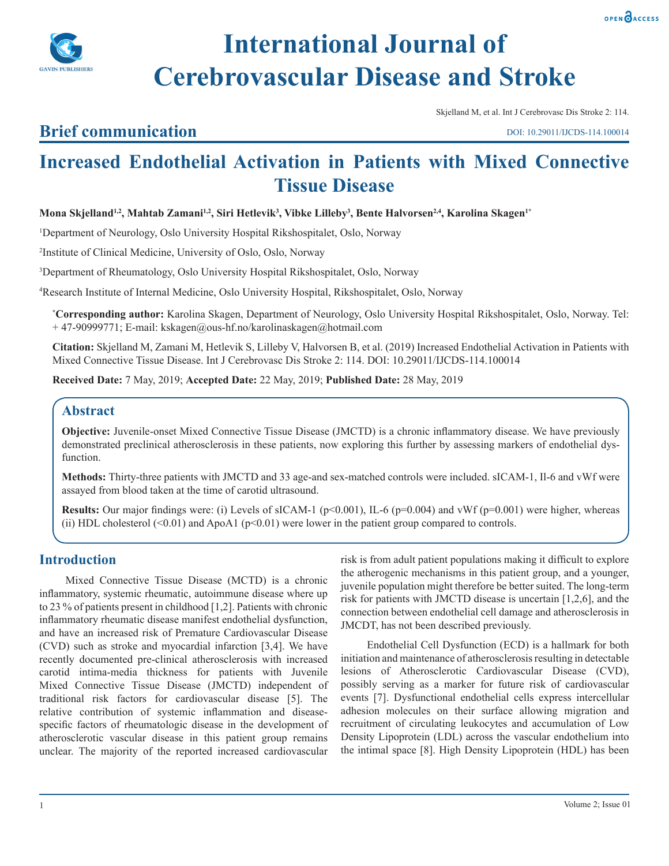

# **International Journal of Cerebrovascular Disease and Stroke**

Skjelland M, et al. Int J Cerebrovasc Dis Stroke 2: 114.

# **Brief communication**

DOI: 10.29011/IJCDS-114.100014

# **Increased Endothelial Activation in Patients with Mixed Connective Tissue Disease**

**Mona Skjelland1,2, Mahtab Zamani1,2, Siri Hetlevik3 , Vibke Lilleby3 , Bente Halvorsen2,4, Karolina Skagen1\***

1 Department of Neurology, Oslo University Hospital Rikshospitalet, Oslo, Norway

2 Institute of Clinical Medicine, University of Oslo, Oslo, Norway

3 Department of Rheumatology, Oslo University Hospital Rikshospitalet, Oslo, Norway

4 Research Institute of Internal Medicine, Oslo University Hospital, Rikshospitalet, Oslo, Norway

**\* Corresponding author:** Karolina Skagen, Department of Neurology, Oslo University Hospital Rikshospitalet, Oslo, Norway. Tel: + 47-90999771; E-mail: kskagen@ous-hf.no/karolinaskagen@hotmail.com

**Citation:** Skjelland M, Zamani M, Hetlevik S, Lilleby V, Halvorsen B, et al. (2019) Increased Endothelial Activation in Patients with Mixed Connective Tissue Disease. Int J Cerebrovasc Dis Stroke 2: 114. DOI: 10.29011/IJCDS-114.100014

**Received Date:** 7 May, 2019; **Accepted Date:** 22 May, 2019; **Published Date:** 28 May, 2019

## **Abstract**

**Objective:** Juvenile-onset Mixed Connective Tissue Disease (JMCTD) is a chronic inflammatory disease. We have previously demonstrated preclinical atherosclerosis in these patients, now exploring this further by assessing markers of endothelial dysfunction.

**Methods:** Thirty-three patients with JMCTD and 33 age-and sex-matched controls were included. sICAM-1, Il-6 and vWf were assayed from blood taken at the time of carotid ultrasound.

**Results:** Our major findings were: (i) Levels of sICAM-1 ( $p<0.001$ ), IL-6 ( $p=0.004$ ) and vWf ( $p=0.001$ ) were higher, whereas (ii) HDL cholesterol  $(0.01)$  and ApoA1 ( $p<0.01$ ) were lower in the patient group compared to controls.

# **Introduction**

Mixed Connective Tissue Disease (MCTD) is a chronic inflammatory, systemic rheumatic, autoimmune disease where up to 23 % of patients present in childhood [1,2]. Patients with chronic inflammatory rheumatic disease manifest endothelial dysfunction, and have an increased risk of Premature Cardiovascular Disease (CVD) such as stroke and myocardial infarction [3,4]. We have recently documented pre-clinical atherosclerosis with increased carotid intima-media thickness for patients with Juvenile Mixed Connective Tissue Disease (JMCTD) independent of traditional risk factors for cardiovascular disease [5]. The relative contribution of systemic inflammation and diseasespecific factors of rheumatologic disease in the development of atherosclerotic vascular disease in this patient group remains unclear. The majority of the reported increased cardiovascular

risk is from adult patient populations making it difficult to explore the atherogenic mechanisms in this patient group, and a younger, juvenile population might therefore be better suited. The long-term risk for patients with JMCTD disease is uncertain [1,2,6], and the connection between endothelial cell damage and atherosclerosis in JMCDT, has not been described previously.

Endothelial Cell Dysfunction (ECD) is a hallmark for both initiation and maintenance of atherosclerosis resulting in detectable lesions of Atherosclerotic Cardiovascular Disease (CVD), possibly serving as a marker for future risk of cardiovascular events [7]. Dysfunctional endothelial cells express intercellular adhesion molecules on their surface allowing migration and recruitment of circulating leukocytes and accumulation of Low Density Lipoprotein (LDL) across the vascular endothelium into the intimal space [8]. High Density Lipoprotein (HDL) has been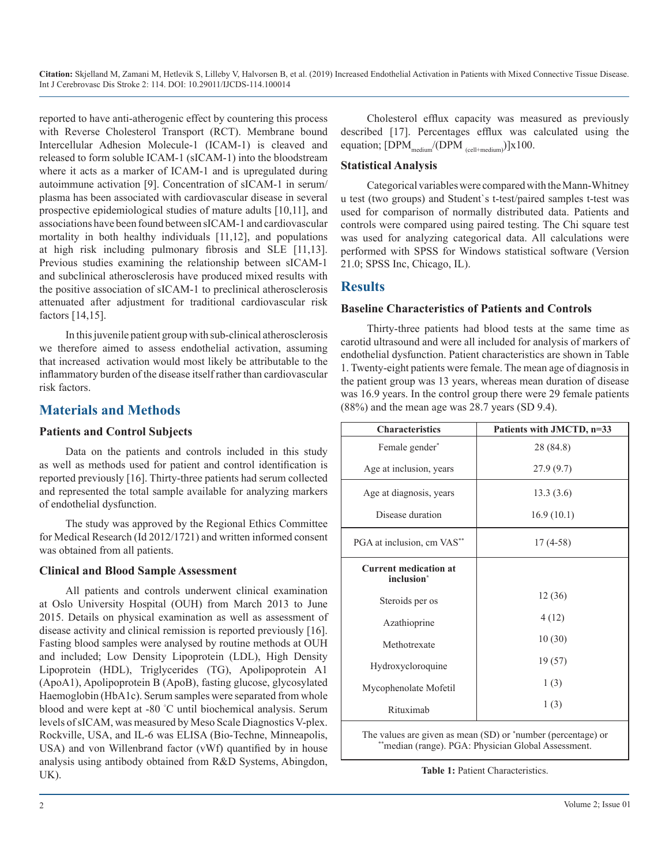reported to have anti-atherogenic effect by countering this process with Reverse Cholesterol Transport (RCT). Membrane bound Intercellular Adhesion Molecule-1 (ICAM-1) is cleaved and released to form soluble ICAM-1 (sICAM-1) into the bloodstream where it acts as a marker of ICAM-1 and is upregulated during autoimmune activation [9]. Concentration of sICAM-1 in serum/ plasma has been associated with cardiovascular disease in several prospective epidemiological studies of mature adults [10,11], and associations have been found between sICAM-1 and cardiovascular mortality in both healthy individuals [11,12], and populations at high risk including pulmonary fibrosis and SLE [11,13]. Previous studies examining the relationship between sICAM-1 and subclinical atherosclerosis have produced mixed results with the positive association of sICAM-1 to preclinical atherosclerosis attenuated after adjustment for traditional cardiovascular risk factors [14,15].

In this juvenile patient group with sub-clinical atherosclerosis we therefore aimed to assess endothelial activation, assuming that increased activation would most likely be attributable to the inflammatory burden of the disease itself rather than cardiovascular risk factors.

## **Materials and Methods**

#### **Patients and Control Subjects**

Data on the patients and controls included in this study as well as methods used for patient and control identification is reported previously [16]. Thirty-three patients had serum collected and represented the total sample available for analyzing markers of endothelial dysfunction.

The study was approved by the Regional Ethics Committee for Medical Research (Id 2012/1721) and written informed consent was obtained from all patients.

#### **Clinical and Blood Sample Assessment**

All patients and controls underwent clinical examination at Oslo University Hospital (OUH) from March 2013 to June 2015. Details on physical examination as well as assessment of disease activity and clinical remission is reported previously [16]. Fasting blood samples were analysed by routine methods at OUH and included; Low Density Lipoprotein (LDL), High Density Lipoprotein (HDL), Triglycerides (TG), Apolipoprotein A1 (ApoA1), Apolipoprotein B (ApoB), fasting glucose, glycosylated Haemoglobin (HbA1c). Serum samples were separated from whole blood and were kept at -80 ° C until biochemical analysis. Serum levels of sICAM, was measured by Meso Scale Diagnostics V-plex. Rockville, USA, and IL-6 was ELISA (Bio-Techne, Minneapolis, USA) and von Willenbrand factor (vWf) quantified by in house analysis using antibody obtained from R&D Systems, Abingdon, UK).

Cholesterol efflux capacity was measured as previously described [17]. Percentages efflux was calculated using the equation;  $[DPM_{medium}/(DPM_{cell + medium})] \times 100$ .

#### **Statistical Analysis**

Categorical variables were compared with the Mann-Whitney u test (two groups) and Student`s t-test/paired samples t-test was used for comparison of normally distributed data. Patients and controls were compared using paired testing. The Chi square test was used for analyzing categorical data. All calculations were performed with SPSS for Windows statistical software (Version 21.0; SPSS Inc, Chicago, IL).

#### **Results**

#### **Baseline Characteristics of Patients and Controls**

Thirty-three patients had blood tests at the same time as carotid ultrasound and were all included for analysis of markers of endothelial dysfunction. Patient characteristics are shown in Table 1. Twenty-eight patients were female. The mean age of diagnosis in the patient group was 13 years, whereas mean duration of disease was 16.9 years. In the control group there were 29 female patients (88%) and the mean age was 28.7 years (SD 9.4).

| <b>Characteristics</b>                                 | Patients with JMCTD, n=33 |  |
|--------------------------------------------------------|---------------------------|--|
| Female gender*                                         | 28 (84.8)                 |  |
| Age at inclusion, years                                | 27.9(9.7)                 |  |
| Age at diagnosis, years                                | 13.3(3.6)                 |  |
| Disease duration                                       | 16.9(10.1)                |  |
| PGA at inclusion, cm VAS**                             | $17(4-58)$                |  |
| <b>Current medication at</b><br>inclusion <sup>*</sup> |                           |  |
| Steroids per os                                        | 12(36)                    |  |
| Azathioprine                                           | 4(12)                     |  |
| Methotrexate                                           | 10(30)                    |  |
| Hydroxycloroquine                                      | 19(57)                    |  |
| Mycophenolate Mofetil                                  | 1(3)                      |  |
| Rituximab                                              | 1(3)                      |  |

The values are given as mean (SD) or \*number (percentage) or \*\*median (range). PGA: Physician Global Assessment.

**Table 1:** Patient Characteristics.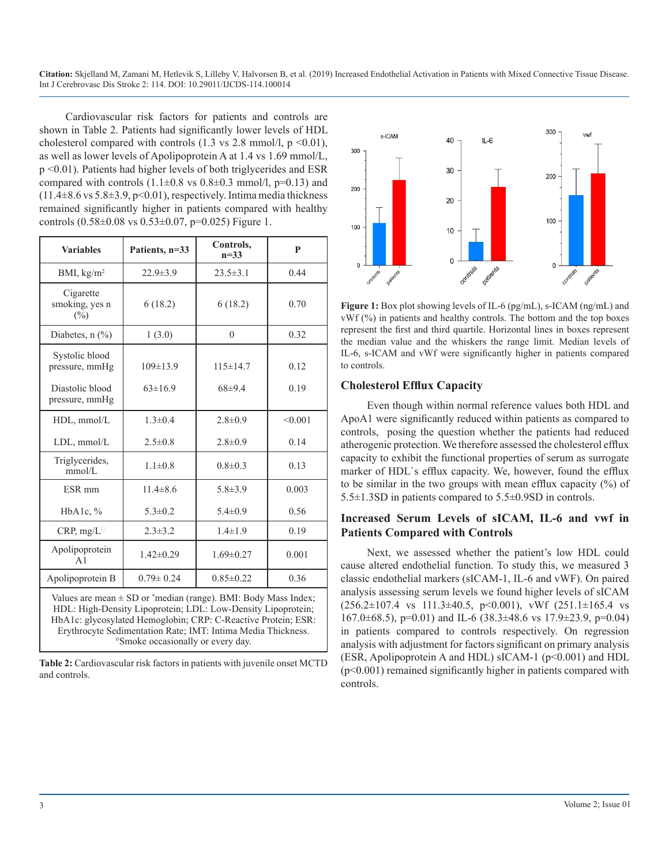Cardiovascular risk factors for patients and controls are shown in Table 2. Patients had significantly lower levels of HDL cholesterol compared with controls  $(1.3 \text{ vs } 2.8 \text{ mmol/l}, p \le 0.01)$ , as well as lower levels of Apolipoprotein A at 1.4 vs 1.69 mmol/L, p <0.01). Patients had higher levels of both triglycerides and ESR compared with controls  $(1.1\pm0.8 \text{ vs } 0.8\pm0.3 \text{ mmol/l}, \text{p=0.13})$  and  $(11.4\pm8.6 \text{ vs } 5.8\pm3.9, \text{ p} < 0.01)$ , respectively. Intima media thickness remained significantly higher in patients compared with healthy controls (0.58±0.08 vs 0.53±0.07, p=0.025) Figure 1.

| <b>Variables</b>                                                                                                                                                                                                                                                                                                     | Patients, n=33  | Controls,<br>$n = 33$ | P       |
|----------------------------------------------------------------------------------------------------------------------------------------------------------------------------------------------------------------------------------------------------------------------------------------------------------------------|-----------------|-----------------------|---------|
| BMI, $kg/m2$                                                                                                                                                                                                                                                                                                         | $22.9 \pm 3.9$  | $23.5 \pm 3.1$        | 0.44    |
| Cigarette<br>smoking, yes n<br>$(\%)$                                                                                                                                                                                                                                                                                | 6(18.2)         | 6(18.2)               | 0.70    |
| Diabetes, $n$ $\left(\frac{9}{6}\right)$                                                                                                                                                                                                                                                                             | 1(3.0)          | $\mathbf{0}$          | 0.32    |
| Systolic blood<br>pressure, mmHg                                                                                                                                                                                                                                                                                     | $109 \pm 13.9$  | $115 \pm 14.7$        | 0.12    |
| Diastolic blood<br>pressure, mmHg                                                                                                                                                                                                                                                                                    | $63 \pm 16.9$   | 68±9.4                | 0.19    |
| HDL, mmol/L                                                                                                                                                                                                                                                                                                          | $1.3 \pm 0.4$   | $2.8 \pm 0.9$         | < 0.001 |
| LDL, mmol/L                                                                                                                                                                                                                                                                                                          | $2.5 \pm 0.8$   | $2.8 \pm 0.9$         | 0.14    |
| Triglycerides,<br>mmol/L                                                                                                                                                                                                                                                                                             | $1.1 \pm 0.8$   | $0.8 \pm 0.3$         | 0.13    |
| ESR <sub>mm</sub>                                                                                                                                                                                                                                                                                                    | $11.4 \pm 8.6$  | $5.8 \pm 3.9$         | 0.003   |
| HbA1c, $%$                                                                                                                                                                                                                                                                                                           | $5.3 \pm 0.2$   | $5.4 \pm 0.9$         | 0.56    |
| CRP, mg/L                                                                                                                                                                                                                                                                                                            | $2.3 \pm 3.2$   | $1.4 \pm 1.9$         | 0.19    |
| Apolipoprotein<br>A <sub>1</sub>                                                                                                                                                                                                                                                                                     | $1.42 \pm 0.29$ | $1.69 \pm 0.27$       | 0.001   |
| Apolipoprotein B                                                                                                                                                                                                                                                                                                     | $0.79 \pm 0.24$ | $0.85 \pm 0.22$       | 0.36    |
| Values are mean $\pm$ SD or *median (range). BMI: Body Mass Index;<br>HDL: High-Density Lipoprotein; LDL: Low-Density Lipoprotein;<br>HbA1c: glycosylated Hemoglobin; CRP: C-Reactive Protein; ESR:<br>Erythrocyte Sedimentation Rate; IMT: Intima Media Thickness.<br><sup>o</sup> Smoke occasionally or every day. |                 |                       |         |

**Table 2:** Cardiovascular risk factors in patients with juvenile onset MCTD and controls.



**Figure 1:** Box plot showing levels of IL-6 (pg/mL), s-ICAM (ng/mL) and vWf (%) in patients and healthy controls. The bottom and the top boxes represent the first and third quartile. Horizontal lines in boxes represent the median value and the whiskers the range limit. Median levels of IL-6, s-ICAM and vWf were significantly higher in patients compared to controls.

#### **Cholesterol Efflux Capacity**

Even though within normal reference values both HDL and ApoA1 were significantly reduced within patients as compared to controls, posing the question whether the patients had reduced atherogenic protection. We therefore assessed the cholesterol efflux capacity to exhibit the functional properties of serum as surrogate marker of HDL`s efflux capacity. We, however, found the efflux to be similar in the two groups with mean efflux capacity (%) of 5.5±1.3SD in patients compared to 5.5±0.9SD in controls.

#### **Increased Serum Levels of sICAM, IL-6 and vwf in Patients Compared with Controls**

Next, we assessed whether the patient's low HDL could cause altered endothelial function. To study this, we measured 3 classic endothelial markers (sICAM-1, IL-6 and vWF). On paired analysis assessing serum levels we found higher levels of sICAM  $(256.2 \pm 107.4 \text{ vs } 111.3 \pm 40.5, \text{ p} < 0.001), \text{ vWf}$   $(251.1 \pm 165.4 \text{ vs } 111.3 \pm 40.5, \text{ p} < 0.001)$ 167.0±68.5), p=0.01) and IL-6 (38.3±48.6 vs 17.9±23.9, p=0.04) in patients compared to controls respectively. On regression analysis with adjustment for factors significant on primary analysis (ESR, Apolipoprotein A and HDL) sICAM-1 (p<0.001) and HDL (p<0.001) remained significantly higher in patients compared with controls.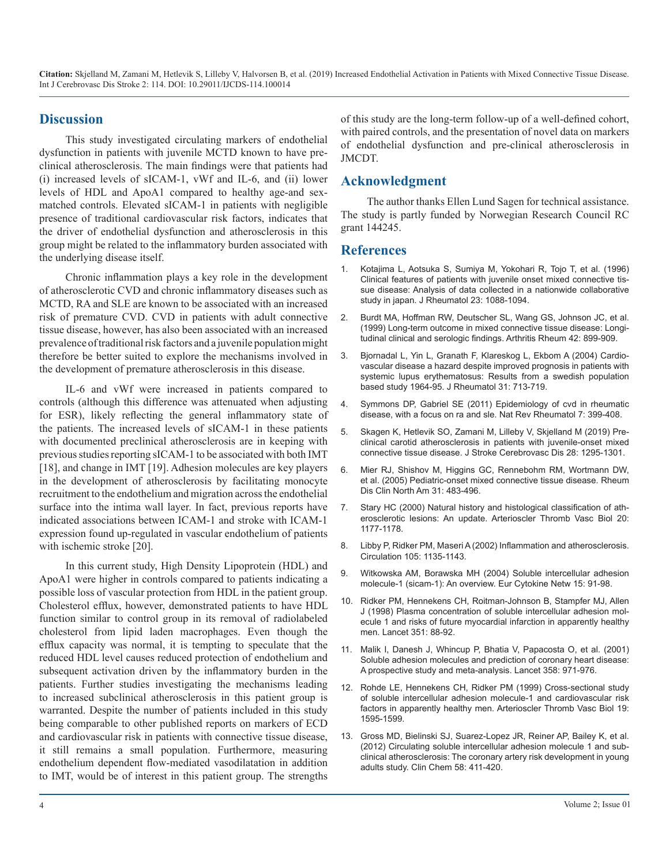#### **Discussion**

This study investigated circulating markers of endothelial dysfunction in patients with juvenile MCTD known to have preclinical atherosclerosis. The main findings were that patients had (i) increased levels of sICAM-1, vWf and IL-6, and (ii) lower levels of HDL and ApoA1 compared to healthy age-and sexmatched controls. Elevated sICAM-1 in patients with negligible presence of traditional cardiovascular risk factors, indicates that the driver of endothelial dysfunction and atherosclerosis in this group might be related to the inflammatory burden associated with the underlying disease itself.

Chronic inflammation plays a key role in the development of atherosclerotic CVD and chronic inflammatory diseases such as MCTD, RA and SLE are known to be associated with an increased risk of premature CVD. CVD in patients with adult connective tissue disease, however, has also been associated with an increased prevalence of traditional risk factors and a juvenile population might therefore be better suited to explore the mechanisms involved in the development of premature atherosclerosis in this disease.

IL-6 and vWf were increased in patients compared to controls (although this difference was attenuated when adjusting for ESR), likely reflecting the general inflammatory state of the patients. The increased levels of sICAM-1 in these patients with documented preclinical atherosclerosis are in keeping with previous studies reporting sICAM-1 to be associated with both IMT [18], and change in IMT [19]. Adhesion molecules are key players in the development of atherosclerosis by facilitating monocyte recruitment to the endothelium and migration across the endothelial surface into the intima wall layer. In fact, previous reports have indicated associations between ICAM-1 and stroke with ICAM-1 expression found up-regulated in vascular endothelium of patients with ischemic stroke [20].

In this current study, High Density Lipoprotein (HDL) and ApoA1 were higher in controls compared to patients indicating a possible loss of vascular protection from HDL in the patient group. Cholesterol efflux, however, demonstrated patients to have HDL function similar to control group in its removal of radiolabeled cholesterol from lipid laden macrophages. Even though the efflux capacity was normal, it is tempting to speculate that the reduced HDL level causes reduced protection of endothelium and subsequent activation driven by the inflammatory burden in the patients. Further studies investigating the mechanisms leading to increased subclinical atherosclerosis in this patient group is warranted. Despite the number of patients included in this study being comparable to other published reports on markers of ECD and cardiovascular risk in patients with connective tissue disease, it still remains a small population. Furthermore, measuring endothelium dependent flow-mediated vasodilatation in addition to IMT, would be of interest in this patient group. The strengths

of this study are the long-term follow-up of a well-defined cohort, with paired controls, and the presentation of novel data on markers of endothelial dysfunction and pre-clinical atherosclerosis in JMCDT.

#### **Acknowledgment**

The author thanks Ellen Lund Sagen for technical assistance. The study is partly funded by Norwegian Research Council RC grant 144245.

#### **References**

- 1. [Kotajima L, Aotsuka S, Sumiya M, Yokohari R, Tojo T, et al. \(1996\)](https://www.ncbi.nlm.nih.gov/pubmed/8782145)  Clinical features of patients with juvenile onset mixed connective tis[sue disease: Analysis of data collected in a nationwide collaborative](https://www.ncbi.nlm.nih.gov/pubmed/8782145)  [study in japan. J Rheumatol 23: 1088-1094.](https://www.ncbi.nlm.nih.gov/pubmed/8782145)
- 2. [Burdt MA, Hoffman RW, Deutscher SL, Wang GS, Johnson JC, et al.](https://www.ncbi.nlm.nih.gov/pubmed/10323445)  (1999) Long-term outcome in mixed connective tissue disease: Longi[tudinal clinical and serologic findings. Arthritis Rheum 42: 899-909](https://www.ncbi.nlm.nih.gov/pubmed/10323445).
- 3. [Bjornadal L, Yin L, Granath F, Klareskog L, Ekbom A \(2004\) Cardio](https://www.ncbi.nlm.nih.gov/pubmed/15088296)vascular disease a hazard despite improved prognosis in patients with [systemic lupus erythematosus: Results from a swedish population](https://www.ncbi.nlm.nih.gov/pubmed/15088296)  [based study 1964-95. J Rheumatol 31: 713-719.](https://www.ncbi.nlm.nih.gov/pubmed/15088296)
- 4. [Symmons DP, Gabriel SE \(2011\) Epidemiology of cvd in rheumatic](https://www.ncbi.nlm.nih.gov/pubmed/21629241)  disease, with a focus on ra and sle. Nat Rev Rheumatol 7: 399-408.
- 5. [Skagen K, Hetlevik SO, Zamani M, Lilleby V, Skjelland M \(2019\) Pre](https://www.ncbi.nlm.nih.gov/pubmed/30772156)clinical carotid atherosclerosis in patients with juvenile-onset mixed [connective tissue disease. J Stroke Cerebrovasc Dis 28: 1295-1301.](https://www.ncbi.nlm.nih.gov/pubmed/30772156)
- 6. [Mier RJ, Shishov M, Higgins GC, Rennebohm RM, Wortmann DW,](https://www.ncbi.nlm.nih.gov/pubmed/16084320) et al. (2005) Pediatric-onset mixed connective tissue disease. Rheum [Dis Clin North Am 31: 483-496.](https://www.ncbi.nlm.nih.gov/pubmed/16084320)
- 7. [Stary HC \(2000\) Natural history and histological classification of ath](https://www.ncbi.nlm.nih.gov/pubmed/10807728)erosclerotic lesions: An update. Arterioscler Thromb Vasc Biol 20: [1177-1178.](https://www.ncbi.nlm.nih.gov/pubmed/10807728)
- 8. [Libby P, Ridker PM, Maseri A \(2002\) Inflammation and atherosclerosis.](https://www.ncbi.nlm.nih.gov/pubmed/11877368)  Circulation 105: 1135-1143.
- 9. [Witkowska AM, Borawska MH \(2004\) Soluble intercellular adhesion](https://www.ncbi.nlm.nih.gov/pubmed/15319166)  molecule-1 (sicam-1): An overview. Eur Cytokine Netw 15: 91-98.
- 10. [Ridker PM, Hennekens CH, Roitman-Johnson B, Stampfer MJ, Allen](https://www.ncbi.nlm.nih.gov/pubmed/9439492)  J (1998) Plasma concentration of soluble intercellular adhesion mol[ecule 1 and risks of future myocardial infarction in apparently healthy](https://www.ncbi.nlm.nih.gov/pubmed/9439492)  [men. Lancet 351: 88-92.](https://www.ncbi.nlm.nih.gov/pubmed/9439492)
- 11. [Malik I, Danesh J, Whincup P, Bhatia V, Papacosta O, et al. \(2001\)](https://www.ncbi.nlm.nih.gov/pubmed/11583751)  Soluble adhesion molecules and prediction of coronary heart disease: [A prospective study and meta-analysis. Lancet 358: 971-976.](https://www.ncbi.nlm.nih.gov/pubmed/11583751)
- 12. [Rohde LE, Hennekens CH, Ridker PM \(1999\) Cross-sectional study](https://www.ncbi.nlm.nih.gov/pubmed/10397675) of soluble intercellular adhesion molecule-1 and cardiovascular risk [factors in apparently healthy men. Arterioscler Thromb Vasc Biol 19:](https://www.ncbi.nlm.nih.gov/pubmed/10397675)  [1595-1599.](https://www.ncbi.nlm.nih.gov/pubmed/10397675)
- 13. [Gross MD, Bielinski SJ, Suarez-Lopez JR, Reiner AP, Bailey K, et al.](https://www.ncbi.nlm.nih.gov/pubmed/22179741)  (2012) Circulating soluble intercellular adhesion molecule 1 and sub[clinical atherosclerosis: The coronary artery risk development in young](https://www.ncbi.nlm.nih.gov/pubmed/22179741)  [adults study. Clin Chem 58: 411-420.](https://www.ncbi.nlm.nih.gov/pubmed/22179741)